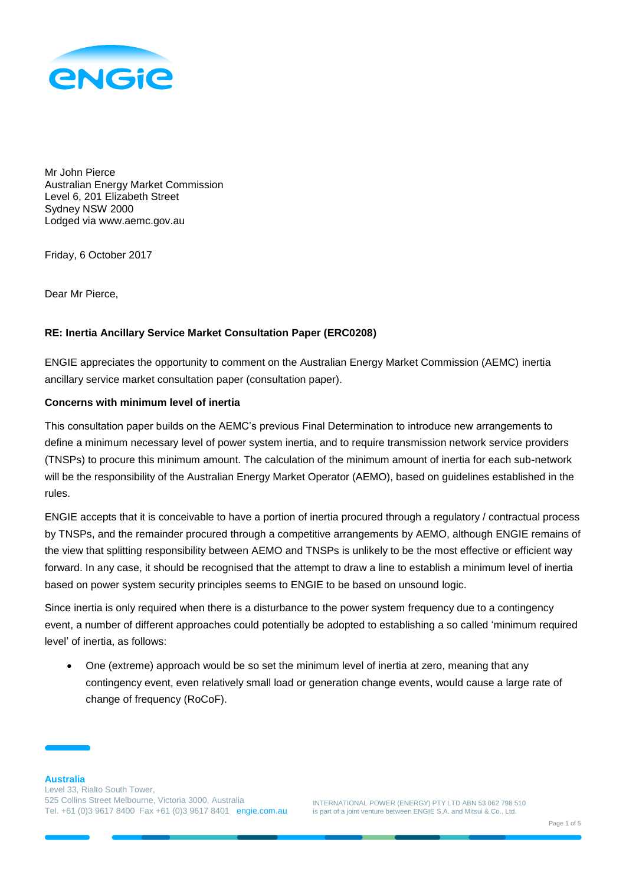

Mr John Pierce Australian Energy Market Commission Level 6, 201 Elizabeth Street Sydney NSW 2000 Lodged via www.aemc.gov.au

Friday, 6 October 2017

Dear Mr Pierce,

## **RE: Inertia Ancillary Service Market Consultation Paper (ERC0208)**

ENGIE appreciates the opportunity to comment on the Australian Energy Market Commission (AEMC) inertia ancillary service market consultation paper (consultation paper).

## **Concerns with minimum level of inertia**

This consultation paper builds on the AEMC's previous Final Determination to introduce new arrangements to define a minimum necessary level of power system inertia, and to require transmission network service providers (TNSPs) to procure this minimum amount. The calculation of the minimum amount of inertia for each sub-network will be the responsibility of the Australian Energy Market Operator (AEMO), based on guidelines established in the rules.

ENGIE accepts that it is conceivable to have a portion of inertia procured through a regulatory / contractual process by TNSPs, and the remainder procured through a competitive arrangements by AEMO, although ENGIE remains of the view that splitting responsibility between AEMO and TNSPs is unlikely to be the most effective or efficient way forward. In any case, it should be recognised that the attempt to draw a line to establish a minimum level of inertia based on power system security principles seems to ENGIE to be based on unsound logic.

Since inertia is only required when there is a disturbance to the power system frequency due to a contingency event, a number of different approaches could potentially be adopted to establishing a so called 'minimum required level' of inertia, as follows:

 One (extreme) approach would be so set the minimum level of inertia at zero, meaning that any contingency event, even relatively small load or generation change events, would cause a large rate of change of frequency (RoCoF).

INTERNATIONAL POWER (ENERGY) PTY LTD ABN 53 062 798 510 is part of a joint venture between ENGIE S.A. and Mitsui & Co., Ltd.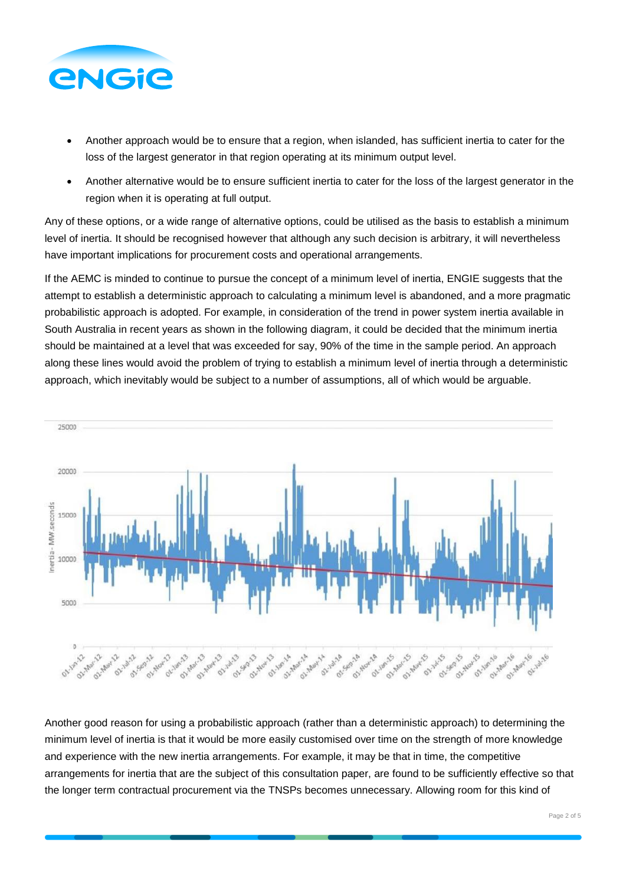

- Another approach would be to ensure that a region, when islanded, has sufficient inertia to cater for the loss of the largest generator in that region operating at its minimum output level.
- Another alternative would be to ensure sufficient inertia to cater for the loss of the largest generator in the region when it is operating at full output.

Any of these options, or a wide range of alternative options, could be utilised as the basis to establish a minimum level of inertia. It should be recognised however that although any such decision is arbitrary, it will nevertheless have important implications for procurement costs and operational arrangements.

If the AEMC is minded to continue to pursue the concept of a minimum level of inertia, ENGIE suggests that the attempt to establish a deterministic approach to calculating a minimum level is abandoned, and a more pragmatic probabilistic approach is adopted. For example, in consideration of the trend in power system inertia available in South Australia in recent years as shown in the following diagram, it could be decided that the minimum inertia should be maintained at a level that was exceeded for say, 90% of the time in the sample period. An approach along these lines would avoid the problem of trying to establish a minimum level of inertia through a deterministic approach, which inevitably would be subject to a number of assumptions, all of which would be arguable.



Another good reason for using a probabilistic approach (rather than a deterministic approach) to determining the minimum level of inertia is that it would be more easily customised over time on the strength of more knowledge and experience with the new inertia arrangements. For example, it may be that in time, the competitive arrangements for inertia that are the subject of this consultation paper, are found to be sufficiently effective so that the longer term contractual procurement via the TNSPs becomes unnecessary. Allowing room for this kind of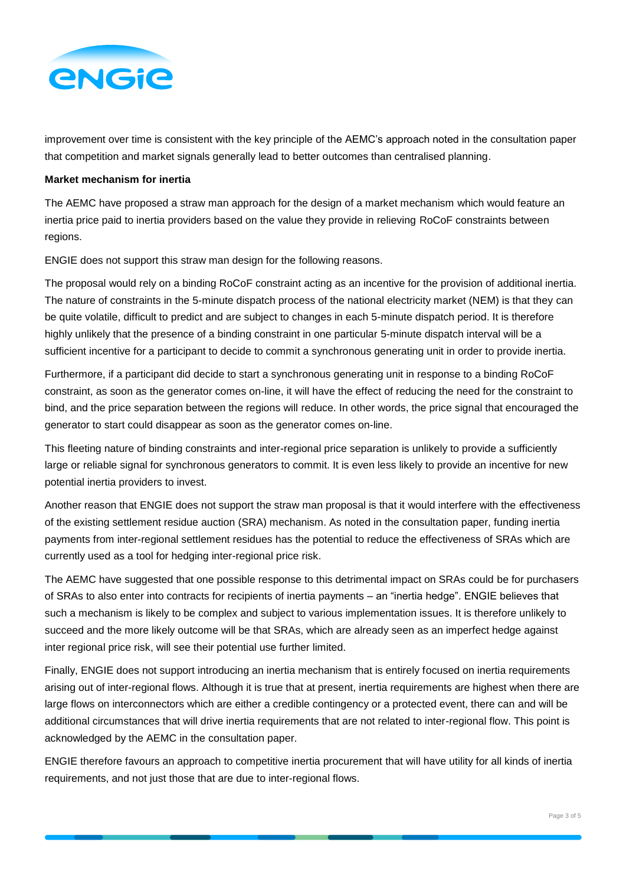

improvement over time is consistent with the key principle of the AEMC's approach noted in the consultation paper that competition and market signals generally lead to better outcomes than centralised planning.

## **Market mechanism for inertia**

The AEMC have proposed a straw man approach for the design of a market mechanism which would feature an inertia price paid to inertia providers based on the value they provide in relieving RoCoF constraints between regions.

ENGIE does not support this straw man design for the following reasons.

The proposal would rely on a binding RoCoF constraint acting as an incentive for the provision of additional inertia. The nature of constraints in the 5-minute dispatch process of the national electricity market (NEM) is that they can be quite volatile, difficult to predict and are subject to changes in each 5-minute dispatch period. It is therefore highly unlikely that the presence of a binding constraint in one particular 5-minute dispatch interval will be a sufficient incentive for a participant to decide to commit a synchronous generating unit in order to provide inertia.

Furthermore, if a participant did decide to start a synchronous generating unit in response to a binding RoCoF constraint, as soon as the generator comes on-line, it will have the effect of reducing the need for the constraint to bind, and the price separation between the regions will reduce. In other words, the price signal that encouraged the generator to start could disappear as soon as the generator comes on-line.

This fleeting nature of binding constraints and inter-regional price separation is unlikely to provide a sufficiently large or reliable signal for synchronous generators to commit. It is even less likely to provide an incentive for new potential inertia providers to invest.

Another reason that ENGIE does not support the straw man proposal is that it would interfere with the effectiveness of the existing settlement residue auction (SRA) mechanism. As noted in the consultation paper, funding inertia payments from inter-regional settlement residues has the potential to reduce the effectiveness of SRAs which are currently used as a tool for hedging inter-regional price risk.

The AEMC have suggested that one possible response to this detrimental impact on SRAs could be for purchasers of SRAs to also enter into contracts for recipients of inertia payments – an "inertia hedge". ENGIE believes that such a mechanism is likely to be complex and subject to various implementation issues. It is therefore unlikely to succeed and the more likely outcome will be that SRAs, which are already seen as an imperfect hedge against inter regional price risk, will see their potential use further limited.

Finally, ENGIE does not support introducing an inertia mechanism that is entirely focused on inertia requirements arising out of inter-regional flows. Although it is true that at present, inertia requirements are highest when there are large flows on interconnectors which are either a credible contingency or a protected event, there can and will be additional circumstances that will drive inertia requirements that are not related to inter-regional flow. This point is acknowledged by the AEMC in the consultation paper.

ENGIE therefore favours an approach to competitive inertia procurement that will have utility for all kinds of inertia requirements, and not just those that are due to inter-regional flows.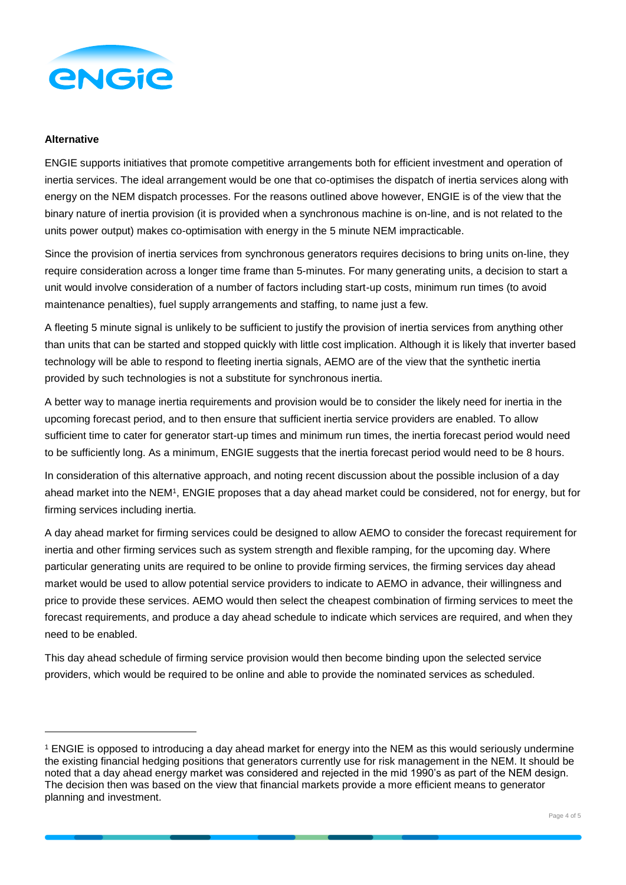

## **Alternative**

l

ENGIE supports initiatives that promote competitive arrangements both for efficient investment and operation of inertia services. The ideal arrangement would be one that co-optimises the dispatch of inertia services along with energy on the NEM dispatch processes. For the reasons outlined above however, ENGIE is of the view that the binary nature of inertia provision (it is provided when a synchronous machine is on-line, and is not related to the units power output) makes co-optimisation with energy in the 5 minute NEM impracticable.

Since the provision of inertia services from synchronous generators requires decisions to bring units on-line, they require consideration across a longer time frame than 5-minutes. For many generating units, a decision to start a unit would involve consideration of a number of factors including start-up costs, minimum run times (to avoid maintenance penalties), fuel supply arrangements and staffing, to name just a few.

A fleeting 5 minute signal is unlikely to be sufficient to justify the provision of inertia services from anything other than units that can be started and stopped quickly with little cost implication. Although it is likely that inverter based technology will be able to respond to fleeting inertia signals, AEMO are of the view that the synthetic inertia provided by such technologies is not a substitute for synchronous inertia.

A better way to manage inertia requirements and provision would be to consider the likely need for inertia in the upcoming forecast period, and to then ensure that sufficient inertia service providers are enabled. To allow sufficient time to cater for generator start-up times and minimum run times, the inertia forecast period would need to be sufficiently long. As a minimum, ENGIE suggests that the inertia forecast period would need to be 8 hours.

In consideration of this alternative approach, and noting recent discussion about the possible inclusion of a day ahead market into the NEM<sup>1</sup>, ENGIE proposes that a day ahead market could be considered, not for energy, but for firming services including inertia.

A day ahead market for firming services could be designed to allow AEMO to consider the forecast requirement for inertia and other firming services such as system strength and flexible ramping, for the upcoming day. Where particular generating units are required to be online to provide firming services, the firming services day ahead market would be used to allow potential service providers to indicate to AEMO in advance, their willingness and price to provide these services. AEMO would then select the cheapest combination of firming services to meet the forecast requirements, and produce a day ahead schedule to indicate which services are required, and when they need to be enabled.

This day ahead schedule of firming service provision would then become binding upon the selected service providers, which would be required to be online and able to provide the nominated services as scheduled.

<sup>1</sup> ENGIE is opposed to introducing a day ahead market for energy into the NEM as this would seriously undermine the existing financial hedging positions that generators currently use for risk management in the NEM. It should be noted that a day ahead energy market was considered and rejected in the mid 1990's as part of the NEM design. The decision then was based on the view that financial markets provide a more efficient means to generator planning and investment.